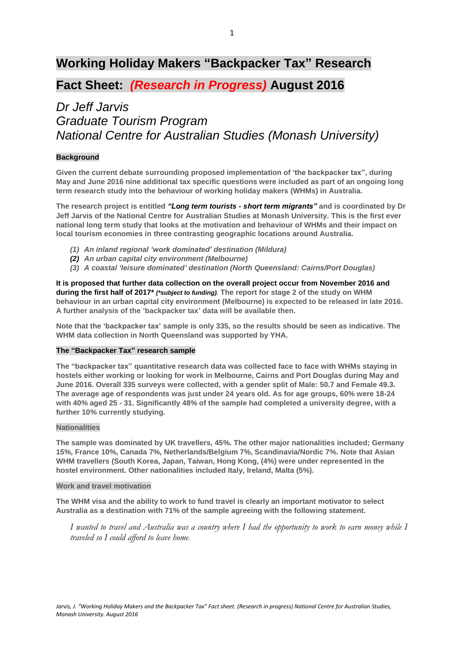## **Working Holiday Makers "Backpacker Tax" Research**

## **Fact Sheet:** *(Research in Progress)* **August 2016**

# *Dr Jeff Jarvis Graduate Tourism Program National Centre for Australian Studies (Monash University)*

## **Background**

**Given the current debate surrounding proposed implementation of 'the backpacker tax", during May and June 2016 nine additional tax specific questions were included as part of an ongoing long term research study into the behaviour of working holiday makers (WHMs) in Australia.** 

**The research project is entitled** *"Long term tourists - short term migrants"* **and is coordinated by Dr Jeff Jarvis of the National Centre for Australian Studies at Monash University. This is the first ever national long term study that looks at the motivation and behaviour of WHMs and their impact on local tourism economies in three contrasting geographic locations around Australia.**

- *(1) An inland regional 'work dominated' destination (Mildura)*
- *(2) An urban capital city environment (Melbourne)*
- *(3) A coastal 'leisure dominated' destination (North Queensland: Cairns/Port Douglas)*

**It is proposed that further data collection on the overall project occur from November 2016 and during the first half of 2017\*** *(\*subject to funding).* **The report for stage 2 of the study on WHM behaviour in an urban capital city environment (Melbourne) is expected to be released in late 2016. A further analysis of the 'backpacker tax' data will be available then.**

**Note that the 'backpacker tax' sample is only 335, so the results should be seen as indicative. The WHM data collection in North Queensland was supported by YHA.**

### **The "Backpacker Tax" research sample**

**The "backpacker tax" quantitative research data was collected face to face with WHMs staying in hostels either working or looking for work in Melbourne, Cairns and Port Douglas during May and June 2016. Overall 335 surveys were collected, with a gender split of Male: 50.7 and Female 49.3. The average age of respondents was just under 24 years old. As for age groups, 60% were 18-24 with 40% aged 25 - 31. Significantly 48% of the sample had completed a university degree, with a further 10% currently studying.** 

### **Nationalities**

**The sample was dominated by UK travellers, 45%. The other major nationalities included; Germany 15%, France 10%, Canada 7%, Netherlands/Belgium 7%, Scandinavia/Nordic 7%. Note that Asian WHM travellers (South Korea, Japan, Taiwan, Hong Kong, (4%) were under represented in the hostel environment. Other nationalities included Italy, Ireland, Malta (5%).**

#### **Work and travel motivation**

**The WHM visa and the ability to work to fund travel is clearly an important motivator to select Australia as a destination with 71% of the sample agreeing with the following statement.**

*I wanted to travel and Australia was a country where I had the opportunity to work to earn money while I traveled so I could afford to leave home.*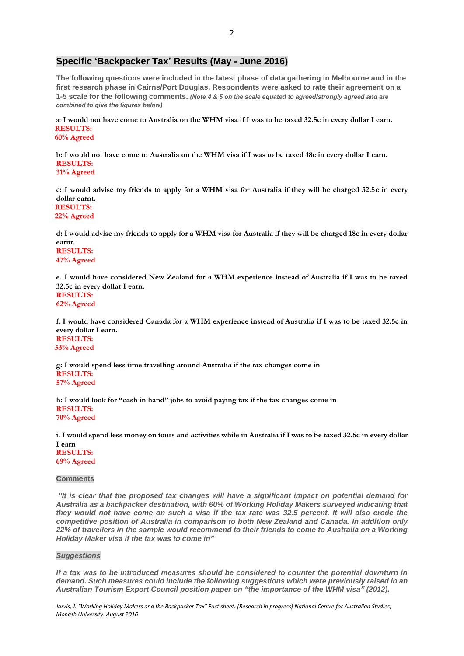### **Specific 'Backpacker Tax' Results (May - June 2016)**

**The following questions were included in the latest phase of data gathering in Melbourne and in the first research phase in Cairns/Port Douglas. Respondents were asked to rate their agreement on a 1-5 scale for the following comments.** *(Note 4 & 5 on the scale equated to agreed/strongly agreed and are combined to give the figures below)*

a: **I would not have come to Australia on the WHM visa if I was to be taxed 32.5c in every dollar I earn. RESULTS:** 

**60% Agreed** 

**b: I would not have come to Australia on the WHM visa if I was to be taxed 18c in every dollar I earn. RESULTS: 31% Agreed** 

**c: I would advise my friends to apply for a WHM visa for Australia if they will be charged 32.5c in every dollar earnt. RESULTS: 22% Agreed** 

**d: I would advise my friends to apply for a WHM visa for Australia if they will be charged 18c in every dollar earnt.**

**RESULTS: 47% Agreed**

**e. I would have considered New Zealand for a WHM experience instead of Australia if I was to be taxed 32.5c in every dollar I earn. RESULTS: 62% Agreed** 

**f. I would have considered Canada for a WHM experience instead of Australia if I was to be taxed 32.5c in every dollar I earn. RESULTS: 53% Agreed** 

**g: I would spend less time travelling around Australia if the tax changes come in RESULTS: 57% Agreed** 

**h: I would look for "cash in hand" jobs to avoid paying tax if the tax changes come in RESULTS: 70% Agreed** 

**i. I would spend less money on tours and activities while in Australia if I was to be taxed 32.5c in every dollar I earn RESULTS:** 

**69% Agreed** 

### **Comments**

*"It is clear that the proposed tax changes will have a significant impact on potential demand for Australia as a backpacker destination, with 60% of Working Holiday Makers surveyed indicating that they would not have come on such a visa if the tax rate was 32.5 percent. It will also erode the competitive position of Australia in comparison to both New Zealand and Canada. In addition only 22% of travellers in the sample would recommend to their friends to come to Australia on a Working Holiday Maker visa if the tax was to come in"*

#### *Suggestions*

*If a tax was to be introduced measures should be considered to counter the potential downturn in demand. Such measures could include the following suggestions which were previously raised in an Australian Tourism Export Council position paper on "the importance of the WHM visa" (2012).* 

Jarvis, J. "Working Holiday Makers and the Backpacker Tax" Fact sheet. (Research in progress) National Centre for Australian Studies, *Monash University. August 2016*